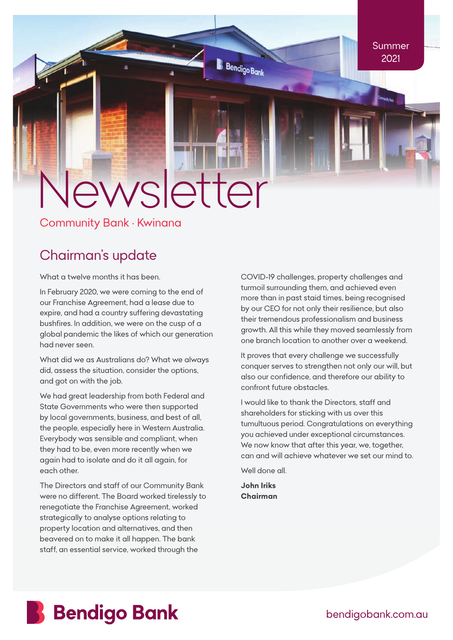# *Newsletter*

*Community Bank • Kwinana*

# *Chairman's update*

*What a twelve months it has been.*

*In February 2020, we were coming to the end of our Franchise Agreement, had a lease due to expire, and had a country suffering devastating bushfires. In addition, we were on the cusp of a global pandemic the likes of which our generation had never seen.*

*What did we as Australians do? What we always did, assess the situation, consider the options, and got on with the job.*

*We had great leadership from both Federal and State Governments who were then supported by local governments, business, and best of all, the people, especially here in Western Australia. Everybody was sensible and compliant, when they had to be, even more recently when we again had to isolate and do it all again, for each other.*

*The Directors and staff of our Community Bank were no different. The Board worked tirelessly to renegotiate the Franchise Agreement, worked strategically to analyse options relating to property location and alternatives, and then beavered on to make it all happen. The bank staff, an essential service, worked through the* 

*COVID-19 challenges, property challenges and turmoil surrounding them, and achieved even more than in past staid times, being recognised by our CEO for not only their resilience, but also their tremendous professionalism and business growth. All this while they moved seamlessly from one branch location to another over a weekend.*

*It proves that every challenge we successfully conquer serves to strengthen not only our will, but also our confidence, and therefore our ability to confront future obstacles.*

*I would like to thank the Directors, staff and shareholders for sticking with us over this tumultuous period. Congratulations on everything you achieved under exceptional circumstances. We now know that after this year, we, together, can and will achieve whatever we set our mind to.*

*Well done all.*

*John Iriks Chairman*

**B** Bendigo Bank



*bendigobank.com.au*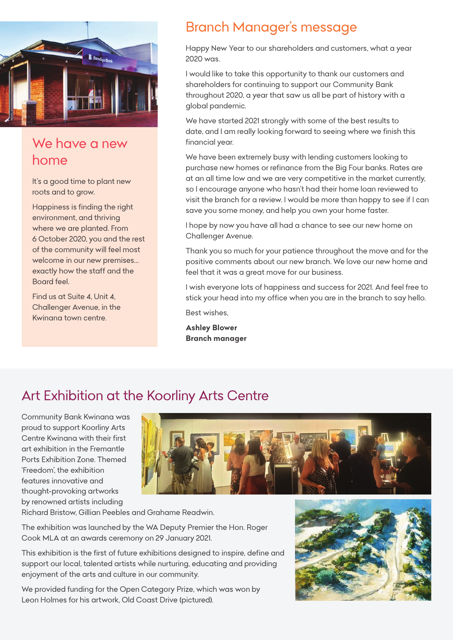

# *We have a new home*

*It's a good time to plant new roots and to grow.*

*Happiness is finding the right environment, and thriving where we are planted. From 6 October 2020, you and the rest of the community will feel most welcome in our new premises… exactly how the staff and the Board feel.*

*Find us at Suite 4, Unit 4, Challenger Avenue, in the Kwinana town centre.*

# *Branch Manager's message*

*Happy New Year to our shareholders and customers, what a year 2020 was.*

*I would like to take this opportunity to thank our customers and shareholders for continuing to support our Community Bank throughout 2020, a year that saw us all be part of history with a global pandemic.*

*We have started 2021 strongly with some of the best results to date, and I am really looking forward to seeing where we finish this financial year.*

*We have been extremely busy with lending customers looking to purchase new homes or refinance from the Big Four banks. Rates are at an all time low and we are very competitive in the market currently, so I encourage anyone who hasn't had their home loan reviewed to visit the branch for a review. I would be more than happy to see if I can save you some money, and help you own your home faster.*

*I hope by now you have all had a chance to see our new home on Challenger Avenue.*

*Thank you so much for your patience throughout the move and for the positive comments about our new branch. We love our new home and feel that it was a great move for our business.*

*I wish everyone lots of happiness and success for 2021. And feel free to stick your head into my office when you are in the branch to say hello.*

*Best wishes,*

*Ashley Blower Branch manager*

# *Art Exhibition at the Koorliny Arts Centre*

*Community Bank Kwinana was proud to support Koorliny Arts Centre Kwinana with their first art exhibition in the Fremantle Ports Exhibition Zone. Themed 'Freedom', the exhibition features innovative and thought-provoking artworks by renowned artists including* 



*Richard Bristow, Gillian Peebles and Grahame Readwin.*

*The exhibition was launched by the WA Deputy Premier the Hon. Roger Cook MLA at an awards ceremony on 29 January 2021.*

*This exhibition is the first of future exhibitions designed to inspire, define and support our local, talented artists while nurturing, educating and providing enjoyment of the arts and culture in our community.*

*We provided funding for the Open Category Prize, which was won by Leon Holmes for his artwork, Old Coast Drive (pictured).*

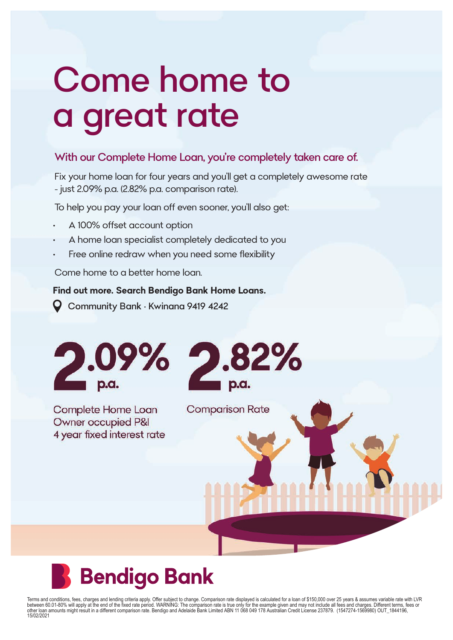# Come home to a great rate

#### With our Complete Home Loan, you're completely taken care of.

Fix your home loan for four years and you'll get a completely awesome rate - just 2.09% p.a. (2.82% p.a. comparison rate).

To help you pay your loan off even sooner, you'll also get:

- **•** A 100% offset account option
- **•** A home loan specialist completely dedicated to you
- **•** Free online redraw when you need some flexibility

Come home to a better home loan.

#### **Find out more. Search Bendigo Bank Home Loans.**

Community Bank • Kwinana 9419 4242



Complete Home Loan Owner occupied P&I 4 year fixed interest rate



**Comparison Rate** 

# **Bendigo Bank**

Terms and conditions, fees, charges and lending criteria apply. Offer subject to change. Comparison rate displayed is calculated for a loan of \$150,000 over 25 years & assumes variable rate with LVR<br>between 60.01-80% will 15/02/2021